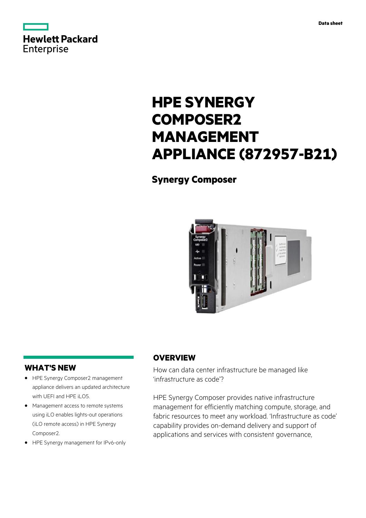

# **HPE SYNERGY COMPOSER2 MANAGEMENT APPLIANCE (872957-B21)**

# **Synergy Composer**



## **WHAT'S NEW**

- **·** HPE Synergy Composer2 management appliance delivers an updated architecture with UEFI and HPE iLO5.
- **·** Management access to remote systems using iLO enables lights-out operations (iLO remote access) in HPE Synergy Composer2.
- **·** HPE Synergy management for IPv6-only

# **OVERVIEW**

How can data center infrastructure be managed like 'infrastructure as code'?

HPE Synergy Composer provides native infrastructure management for efficiently matching compute, storage, and fabric resources to meet any workload. 'Infrastructure as code' capability provides on-demand delivery and support of applications and services with consistent governance,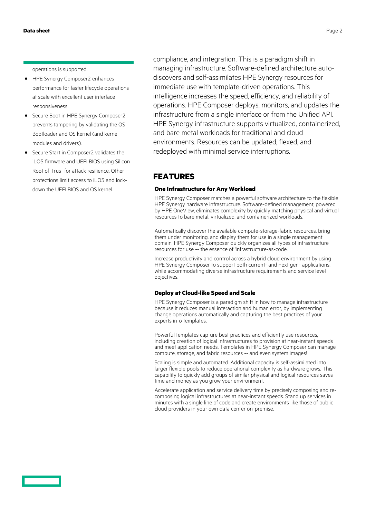operations is supported.

- **·** HPE Synergy Composer2 enhances performance for faster lifecycle operations at scale with excellent user interface responsiveness.
- **·** Secure Boot in HPE Synergy Composer2 prevents tampering by validating the OS Bootloader and OS kernel (and kernel modules and drivers).
- **·** Secure Start in Composer2 validates the iLO5 firmware and UEFI BIOS using Silicon Root of Trust for attack resilience. Other protections limit access to iLO5 and lockdown the UEFI BIOS and OS kernel.

compliance, and integration. This is a paradigm shift in managing infrastructure. Software-defined architecture autodiscovers and self-assimilates HPE Synergy resources for immediate use with template-driven operations. This intelligence increases the speed, efficiency, and reliability of operations. HPE Composer deploys, monitors, and updates the infrastructure from a single interface or from the Unified API. HPE Synergy infrastructure supports virtualized, containerized, and bare metal workloads for traditional and cloud environments. Resources can be updated, flexed, and redeployed with minimal service interruptions.

### **FEATURES**

#### **One Infrastructure for Any Workload**

HPE Synergy Composer matches a powerful software architecture to the flexible HPE Synergy hardware infrastructure. Software-defined management, powered by HPE OneView, eliminates complexity by quickly matching physical and virtual resources to bare metal, virtualized, and containerized workloads.

Automatically discover the available compute-storage-fabric resources, bring them under monitoring, and display them for use in a single management domain. HPE Synergy Composer quickly organizes all types of infrastructure resources for use -- the essence of 'infrastructure-as-code'.

Increase productivity and control across a hybrid cloud environment by using HPE Synergy Composer to support both current- and next gen- applications, while accommodating diverse infrastructure requirements and service level objectives.

#### **Deploy at Cloud-like Speed and Scale**

HPE Synergy Composer is a paradigm shift in how to manage infrastructure because it reduces manual interaction and human error, by implementing change operations automatically and capturing the best practices of your experts into templates.

Powerful templates capture best practices and efficiently use resources, including creation of logical infrastructures to provision at near-instant speeds and meet application needs. Templates in HPE Synergy Composer can manage compute, storage, and fabric resources -- and even system images!

Scaling is simple and automated. Additional capacity is self-assimilated into larger flexible pools to reduce operational complexity as hardware grows. This capability to quickly add groups of similar physical and logical resources saves time and money as you grow your environment.

Accelerate application and service delivery time by precisely composing and recomposing logical infrastructures at near-instant speeds. Stand up services in minutes with a single line of code and create environments like those of public cloud providers in your own data center on-premise.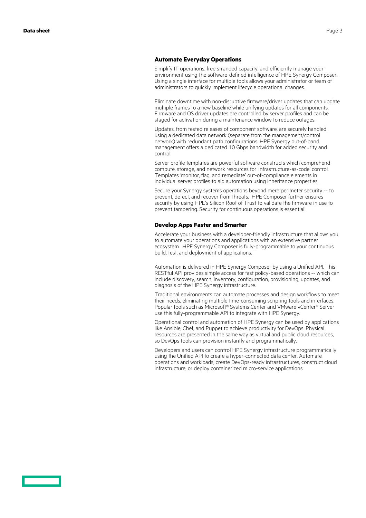#### **Automate Everyday Operations**

Simplify IT operations, free stranded capacity, and efficiently manage your environment using the software-defined intelligence of HPE Synergy Composer. Using a single interface for multiple tools allows your administrator or team of administrators to quickly implement lifecycle operational changes.

Eliminate downtime with non-disruptive firmware/driver updates that can update multiple frames to a new baseline while unifying updates for all components. Firmware and OS driver updates are controlled by server profiles and can be staged for activation during a maintenance window to reduce outages.

Updates, from tested releases of component software, are securely handled using a dedicated data network (separate from the management/control network) with redundant path configurations. HPE Synergy out-of-band management offers a dedicated 10 Gbps bandwidth for added security and control.

Server profile templates are powerful software constructs which comprehend compute, storage, and network resources for 'infrastructure-as-code' control. Templates 'monitor, flag, and remediate' out-of-compliance elements in individual server profiles to aid automation using inheritance properties.

Secure your Synergy systems operations beyond mere perimeter security -- to prevent, detect, and recover from threats. HPE Composer further ensures security by using HPE's Silicon Root of Trust to validate the firmware in use to prevent tampering. Security for continuous operations is essential!

#### **Develop Apps Faster and Smarter**

Accelerate your business with a developer-friendly infrastructure that allows you to automate your operations and applications with an extensive partner ecosystem. HPE Synergy Composer is fully-programmable to your continuous build, test, and deployment of applications.

Automation is delivered in HPE Synergy Composer by using a Unified API. This RESTful API provides simple access for fast policy-based operations -- which can include discovery, search, inventory, configuration, provisioning, updates, and diagnosis of the HPE Synergy infrastructure.

Traditional environments can automate processes and design workflows to meet their needs, eliminating multiple time-consuming scripting tools and interfaces. Popular tools such as Microsoft® Systems Center and VMware vCenter® Server use this fully-programmable API to integrate with HPE Synergy.

Operational control and automation of HPE Synergy can be used by applications like Ansible, Chef, and Puppet to achieve productivity for DevOps. Physical resources are presented in the same way as virtual and public cloud resources, so DevOps tools can provision instantly and programmatically.

Developers and users can control HPE Synergy infrastructure programmatically using the Unified API to create a hyper-connected data center. Automate operations and workloads, create DevOps-ready infrastructures, construct cloud infrastructure, or deploy containerized micro-service applications.